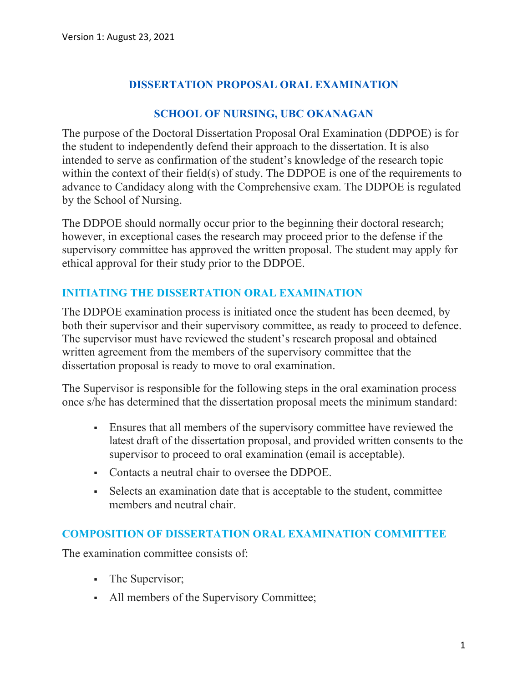# **DISSERTATION PROPOSAL ORAL EXAMINATION**

# **SCHOOL OF NURSING, UBC OKANAGAN**

The purpose of the Doctoral Dissertation Proposal Oral Examination (DDPOE) is for the student to independently defend their approach to the dissertation. It is also intended to serve as confirmation of the student's knowledge of the research topic within the context of their field(s) of study. The DDPOE is one of the requirements to advance to Candidacy along with the Comprehensive exam. The DDPOE is regulated by the School of Nursing.

The DDPOE should normally occur prior to the beginning their doctoral research; however, in exceptional cases the research may proceed prior to the defense if the supervisory committee has approved the written proposal. The student may apply for ethical approval for their study prior to the DDPOE.

# **INITIATING THE DISSERTATION ORAL EXAMINATION**

The DDPOE examination process is initiated once the student has been deemed, by both their supervisor and their supervisory committee, as ready to proceed to defence. The supervisor must have reviewed the student's research proposal and obtained written agreement from the members of the supervisory committee that the dissertation proposal is ready to move to oral examination.

The Supervisor is responsible for the following steps in the oral examination process once s/he has determined that the dissertation proposal meets the minimum standard:

- Ensures that all members of the supervisory committee have reviewed the latest draft of the dissertation proposal, and provided written consents to the supervisor to proceed to oral examination (email is acceptable).
- Contacts a neutral chair to oversee the DDPOE.
- Selects an examination date that is acceptable to the student, committee members and neutral chair.

# **COMPOSITION OF DISSERTATION ORAL EXAMINATION COMMITTEE**

The examination committee consists of:

- The Supervisor;
- All members of the Supervisory Committee;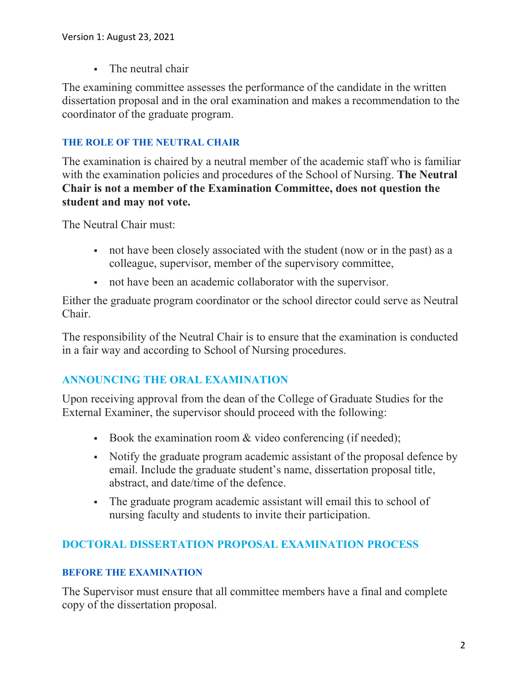The neutral chair

The examining committee assesses the performance of the candidate in the written dissertation proposal and in the oral examination and makes a recommendation to the coordinator of the graduate program.

## **THE ROLE OF THE NEUTRAL CHAIR**

The examination is chaired by a neutral member of the academic staff who is familiar with the examination policies and procedures of the School of Nursing. **The Neutral Chair is not a member of the Examination Committee, does not question the student and may not vote.**

The Neutral Chair must:

- not have been closely associated with the student (now or in the past) as a colleague, supervisor, member of the supervisory committee,
- not have been an academic collaborator with the supervisor.

Either the graduate program coordinator or the school director could serve as Neutral Chair.

The responsibility of the Neutral Chair is to ensure that the examination is conducted in a fair way and according to School of Nursing procedures.

# **ANNOUNCING THE ORAL EXAMINATION**

Upon receiving approval from the dean of the College of Graduate Studies for the External Examiner, the supervisor should proceed with the following:

- Book the examination room & video conferencing (if needed);
- Notify the graduate program academic assistant of the proposal defence by email. Include the graduate student's name, dissertation proposal title, abstract, and date/time of the defence.
- The graduate program academic assistant will email this to school of nursing faculty and students to invite their participation.

# **DOCTORAL DISSERTATION PROPOSAL EXAMINATION PROCESS**

## **BEFORE THE EXAMINATION**

The Supervisor must ensure that all committee members have a final and complete copy of the dissertation proposal.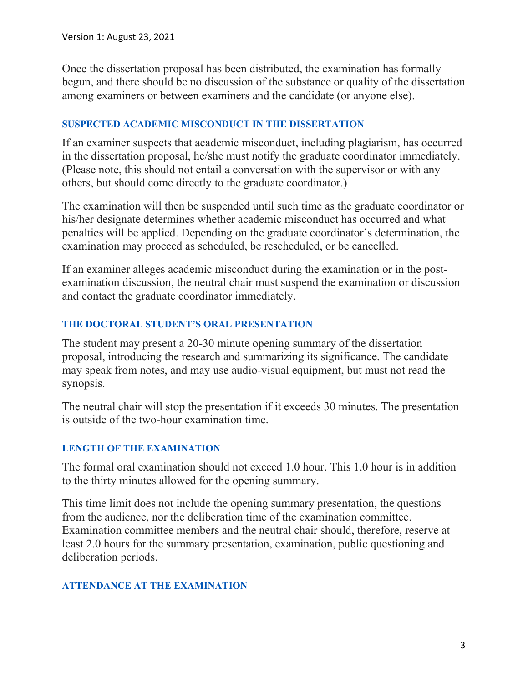Once the dissertation proposal has been distributed, the examination has formally begun, and there should be no discussion of the substance or quality of the dissertation among examiners or between examiners and the candidate (or anyone else).

#### **SUSPECTED ACADEMIC MISCONDUCT IN THE DISSERTATION**

If an examiner suspects that academic misconduct, including plagiarism, has occurred in the dissertation proposal, he/she must notify the graduate coordinator immediately. (Please note, this should not entail a conversation with the supervisor or with any others, but should come directly to the graduate coordinator.)

The examination will then be suspended until such time as the graduate coordinator or his/her designate determines whether academic misconduct has occurred and what penalties will be applied. Depending on the graduate coordinator's determination, the examination may proceed as scheduled, be rescheduled, or be cancelled.

If an examiner alleges academic misconduct during the examination or in the postexamination discussion, the neutral chair must suspend the examination or discussion and contact the graduate coordinator immediately.

#### **THE DOCTORAL STUDENT'S ORAL PRESENTATION**

The student may present a 20-30 minute opening summary of the dissertation proposal, introducing the research and summarizing its significance. The candidate may speak from notes, and may use audio-visual equipment, but must not read the synopsis.

The neutral chair will stop the presentation if it exceeds 30 minutes. The presentation is outside of the two-hour examination time.

## **LENGTH OF THE EXAMINATION**

The formal oral examination should not exceed 1.0 hour. This 1.0 hour is in addition to the thirty minutes allowed for the opening summary.

This time limit does not include the opening summary presentation, the questions from the audience, nor the deliberation time of the examination committee. Examination committee members and the neutral chair should, therefore, reserve at least 2.0 hours for the summary presentation, examination, public questioning and deliberation periods.

## **ATTENDANCE AT THE EXAMINATION**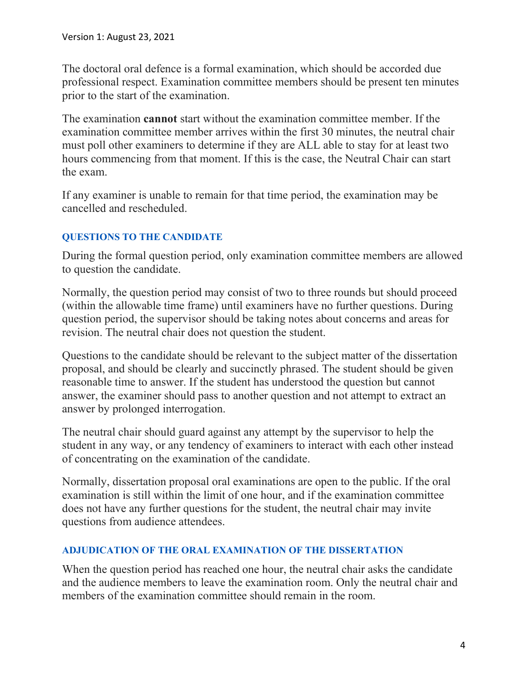The doctoral oral defence is a formal examination, which should be accorded due professional respect. Examination committee members should be present ten minutes prior to the start of the examination.

The examination **cannot** start without the examination committee member. If the examination committee member arrives within the first 30 minutes, the neutral chair must poll other examiners to determine if they are ALL able to stay for at least two hours commencing from that moment. If this is the case, the Neutral Chair can start the exam.

If any examiner is unable to remain for that time period, the examination may be cancelled and rescheduled.

# **QUESTIONS TO THE CANDIDATE**

During the formal question period, only examination committee members are allowed to question the candidate.

Normally, the question period may consist of two to three rounds but should proceed (within the allowable time frame) until examiners have no further questions. During question period, the supervisor should be taking notes about concerns and areas for revision. The neutral chair does not question the student.

Questions to the candidate should be relevant to the subject matter of the dissertation proposal, and should be clearly and succinctly phrased. The student should be given reasonable time to answer. If the student has understood the question but cannot answer, the examiner should pass to another question and not attempt to extract an answer by prolonged interrogation.

The neutral chair should guard against any attempt by the supervisor to help the student in any way, or any tendency of examiners to interact with each other instead of concentrating on the examination of the candidate.

Normally, dissertation proposal oral examinations are open to the public. If the oral examination is still within the limit of one hour, and if the examination committee does not have any further questions for the student, the neutral chair may invite questions from audience attendees.

## **ADJUDICATION OF THE ORAL EXAMINATION OF THE DISSERTATION**

When the question period has reached one hour, the neutral chair asks the candidate and the audience members to leave the examination room. Only the neutral chair and members of the examination committee should remain in the room.